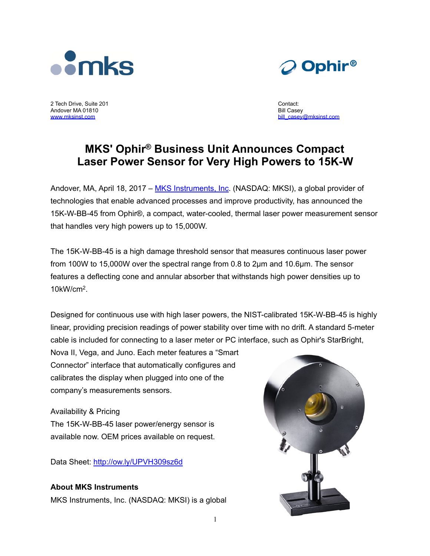



2 Tech Drive, Suite 201 Andover MA 01810 [www.mksinst.com](http://www.mksinst.com) 

Contact: Bill Casey bill\_casey@mksinst.com

# **MKS' Ophir® Business Unit Announces Compact Laser Power Sensor for Very High Powers to 15K-W**

Andover, MA, April 18, 2017 – [MKS Instruments, Inc.](http://mksinst.com/) (NASDAQ: MKSI), a global provider of technologies that enable advanced processes and improve productivity, has announced the 15K-W-BB-45 from Ophir®, a compact, water-cooled, thermal laser power measurement sensor that handles very high powers up to 15,000W.

The 15K-W-BB-45 is a high damage threshold sensor that measures continuous laser power from 100W to 15,000W over the spectral range from 0.8 to 2µm and 10.6µm. The sensor features a deflecting cone and annular absorber that withstands high power densities up to 10kW/cm2.

Designed for continuous use with high laser powers, the NIST-calibrated 15K-W-BB-45 is highly linear, providing precision readings of power stability over time with no drift. A standard 5-meter cable is included for connecting to a laser meter or PC interface, such as Ophir's StarBright,

Nova II, Vega, and Juno. Each meter features a "Smart Connector" interface that automatically configures and calibrates the display when plugged into one of the company's measurements sensors.

## Availability & Pricing

The 15K-W-BB-45 laser power/energy sensor is available now. OEM prices available on request.

Data Sheet: <http://ow.ly/UPVH309sz6d>

### **About MKS Instruments**

MKS Instruments, Inc. (NASDAQ: MKSI) is a global